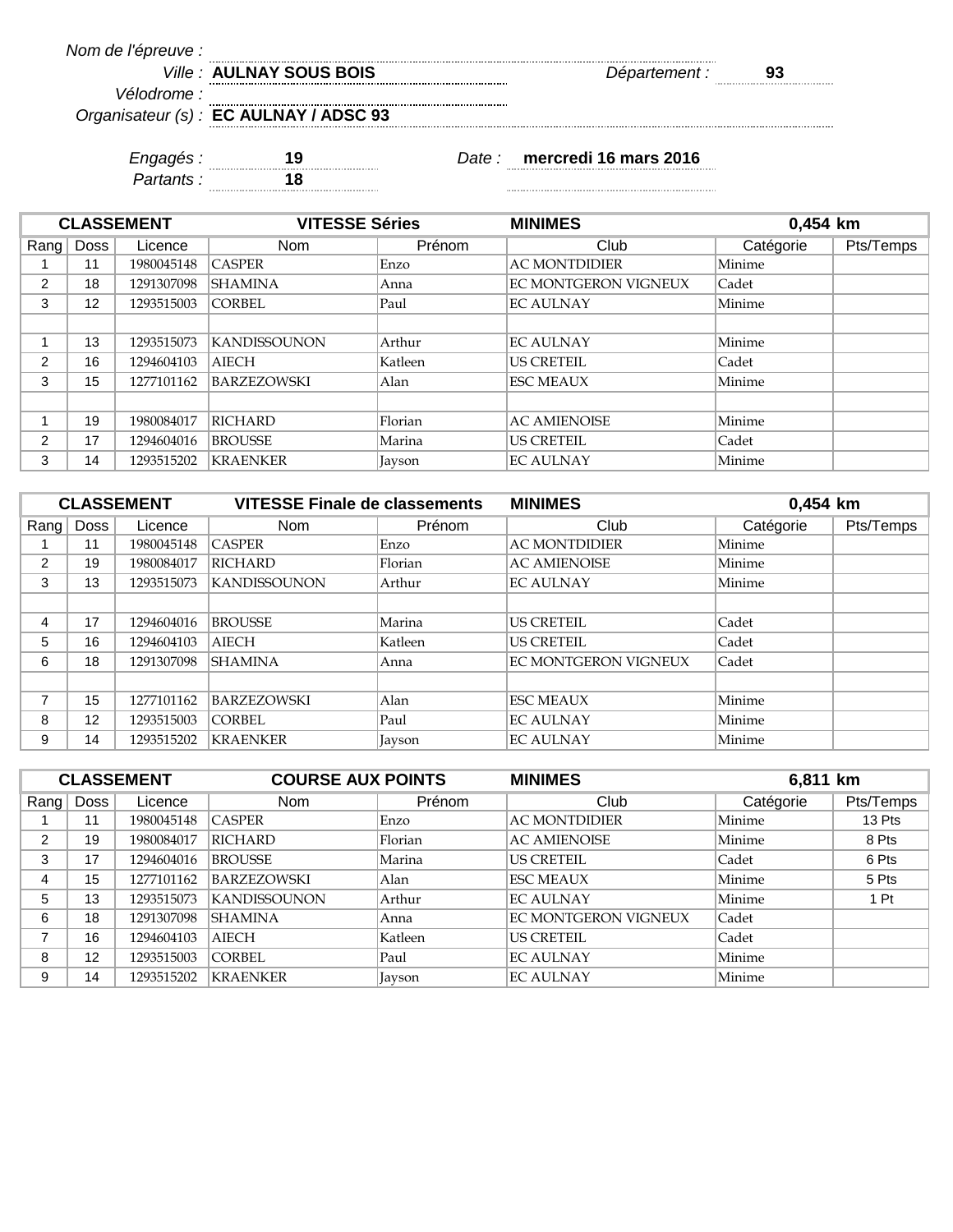*Nom de l'épreuve :*

*Ville : Département :* **93 AULNAY SOUS BOIS**

*Vélodrome : Organisateur (s) :* **EC AULNAY / ADSC 93**

| Engagés :  | ------ | mercredi 16 mars 2016<br>Date : |
|------------|--------|---------------------------------|
| Partants : |        |                                 |

|      |             | <b>CLASSEMENT</b> | <b>VITESSE Séries</b>      |         | <b>MINIMES</b>       | 0,454 km  |           |
|------|-------------|-------------------|----------------------------|---------|----------------------|-----------|-----------|
| Ranq | <b>Doss</b> | Licence           | <b>Nom</b>                 | Prénom  | Club                 | Catégorie | Pts/Temps |
|      | 11          | 1980045148        | <b>CASPER</b>              | Enzo    | <b>AC MONTDIDIER</b> | Minime    |           |
| 2    | 18          | 1291307098        | <b>SHAMINA</b>             | Anna    | EC MONTGERON VIGNEUX | Cadet     |           |
| 3    | 12          | 1293515003        | CORBEL                     | Paul    | <b>EC AULNAY</b>     | Minime    |           |
|      |             |                   |                            |         |                      |           |           |
|      | 13          | 1293515073        | <i><b>KANDISSOUNON</b></i> | Arthur  | <b>EC AULNAY</b>     | Minime    |           |
| 2    | 16          | 1294604103        | <b>AIECH</b>               | Katleen | <b>US CRETEIL</b>    | Cadet     |           |
| 3    | 15          | 1277101162        | <b>BARZEZOWSKI</b>         | Alan    | <b>ESC MEAUX</b>     | Minime    |           |
|      |             |                   |                            |         |                      |           |           |
|      | 19          | 1980084017        | <b>RICHARD</b>             | Florian | <b>AC AMIENOISE</b>  | Minime    |           |
| 2    | 17          | 1294604016        | <b>BROUSSE</b>             | Marina  | <b>US CRETEIL</b>    | Cadet     |           |
| 3    | 14          | 1293515202        | <b>KRAENKER</b>            | Jayson  | <b>EC AULNAY</b>     | Minime    |           |

|      |             | <b>CLASSEMENT</b> | <b>VITESSE Finale de classements</b> |         | <b>MINIMES</b>       | 0,454 km  |           |
|------|-------------|-------------------|--------------------------------------|---------|----------------------|-----------|-----------|
| Rang | <b>Doss</b> | Licence           | <b>Nom</b>                           | Prénom  | Club                 | Catégorie | Pts/Temps |
|      | 11          | 1980045148        | <b>CASPER</b>                        | Enzo    | <b>AC MONTDIDIER</b> | Minime    |           |
| 2    | 19          | 1980084017        | RICHARD                              | Florian | <b>AC AMIENOISE</b>  | Minime    |           |
| 3    | 13          | 1293515073        | <b>KANDISSOUNON</b>                  | Arthur  | <b>EC AULNAY</b>     | Minime    |           |
|      |             |                   |                                      |         |                      |           |           |
| 4    | 17          | 1294604016        | <b>BROUSSE</b>                       | Marina  | <b>US CRETEIL</b>    | Cadet     |           |
| 5    | 16          | 1294604103        | AIECH                                | Katleen | <b>US CRETEIL</b>    | Cadet     |           |
| 6    | 18          | 1291307098        | <b>SHAMINA</b>                       | Anna    | EC MONTGERON VIGNEUX | Cadet     |           |
|      |             |                   |                                      |         |                      |           |           |
| 7    | 15          | 1277101162        | <b>BARZEZOWSKI</b>                   | Alan    | <b>ESC MEAUX</b>     | Minime    |           |
| 8    | 12          | 1293515003        | CORBEL                               | Paul    | <b>EC AULNAY</b>     | Minime    |           |
| 9    | 14          | 1293515202        | <b>KRAENKER</b>                      | Jayson  | <b>EC AULNAY</b>     | Minime    |           |

| <b>CLASSEMENT</b> |      |            | <b>COURSE AUX POINTS</b> |         | <b>MINIMES</b>       | 6,811 km  |           |
|-------------------|------|------------|--------------------------|---------|----------------------|-----------|-----------|
| Ranq              | Doss | Licence    | Nom                      | Prénom  | Club                 | Catégorie | Pts/Temps |
|                   | 11   | 1980045148 | <b>CASPER</b>            | Enzo    | <b>AC MONTDIDIER</b> | Minime    | 13 Pts    |
| 2                 | 19   | 1980084017 | <b>RICHARD</b>           | Florian | <b>AC AMIENOISE</b>  | Minime    | 8 Pts     |
| 3                 | 17   | 1294604016 | <b>BROUSSE</b>           | Marina  | <b>US CRETEIL</b>    | Cadet     | 6 Pts     |
| 4                 | 15   | 1277101162 | <b>BARZEZOWSKI</b>       | Alan    | <b>ESC MEAUX</b>     | Minime    | 5 Pts     |
| 5                 | 13   | 1293515073 | <b>KANDISSOUNON</b>      | Arthur  | <b>EC AULNAY</b>     | Minime    | 1 Pt      |
| 6                 | 18   | 1291307098 | <b>SHAMINA</b>           | Anna    | EC MONTGERON VIGNEUX | Cadet     |           |
| ⇁                 | 16   | 1294604103 | <b>AIECH</b>             | Katleen | <b>US CRETEIL</b>    | Cadet     |           |
| 8                 | 12   | 1293515003 | CORBEL                   | Paul    | <b>EC AULNAY</b>     | Minime    |           |
| 9                 | 14   | 1293515202 | <b>KRAENKER</b>          | Jayson  | <b>EC AULNAY</b>     | Minime    |           |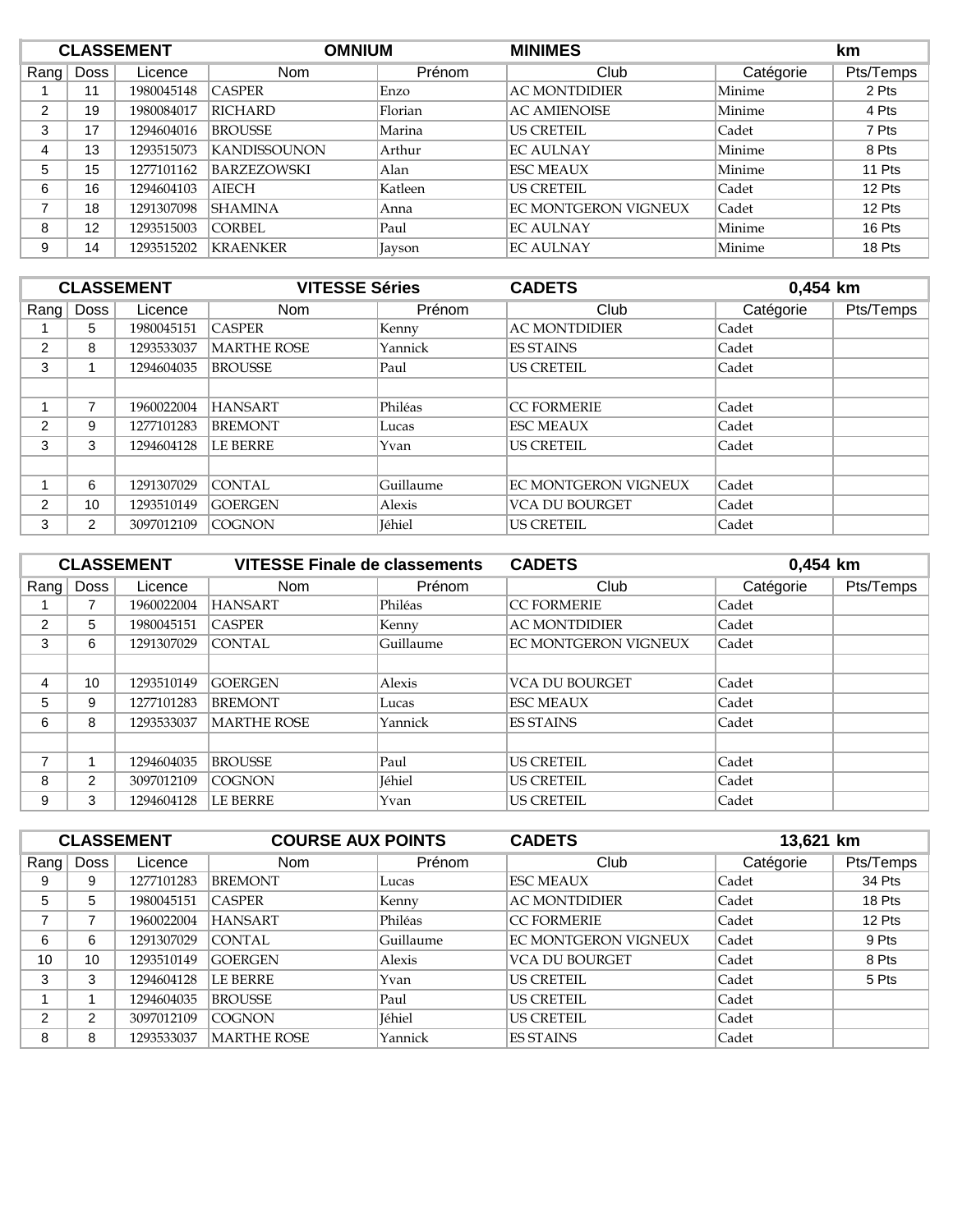|         |                   | <b>CLASSEMENT</b> | <b>OMNIUM</b>       |         | <b>MINIMES</b>              |           | km        |
|---------|-------------------|-------------------|---------------------|---------|-----------------------------|-----------|-----------|
| $R$ ang | Doss              | Licence           | <b>Nom</b>          | Prénom  | Club                        | Catégorie | Pts/Temps |
|         | 11                | 1980045148        | <b>CASPER</b>       | Enzo    | <b>AC MONTDIDIER</b>        | Minime    | 2 Pts     |
| C       | 19                | 1980084017        | <b>RICHARD</b>      | Florian | <b>AC AMIENOISE</b>         | Minime    | 4 Pts     |
| 3       | 17                | 1294604016        | <b>BROUSSE</b>      | Marina  | <b>US CRETEIL</b>           | Cadet     | 7 Pts     |
| 4       | 13                | 1293515073        | <b>KANDISSOUNON</b> | Arthur  | <b>EC AULNAY</b>            | Minime    | 8 Pts     |
| 5       | 15                | 1277101162        | <b>BARZEZOWSKI</b>  | Alan    | <b>ESC MEAUX</b>            | Minime    | 11 Pts    |
| 6       | 16                | 1294604103        | AIECH               | Katleen | <b>US CRETEIL</b>           | Cadet     | 12 Pts    |
| ⇁       | 18                | 1291307098        | <b>SHAMINA</b>      | Anna    | <b>EC MONTGERON VIGNEUX</b> | Cadet     | 12 Pts    |
| 8       | $12 \overline{ }$ | 1293515003        | CORBEL              | Paul    | <b>EC AULNAY</b>            | Minime    | 16 Pts    |
| 9       | 14                | 1293515202        | <b>KRAENKER</b>     | Jayson  | <b>EC AULNAY</b>            | Minime    | 18 Pts    |

|                |                | <b>CLASSEMENT</b> | <b>VITESSE Séries</b> |               | <b>CADETS</b>               | 0,454 km  |           |
|----------------|----------------|-------------------|-----------------------|---------------|-----------------------------|-----------|-----------|
| $R$ ang        | <b>Doss</b>    | Licence           | <b>Nom</b>            | Prénom        | Club                        | Catégorie | Pts/Temps |
|                | 5              | 1980045151        | <b>CASPER</b>         | Kenny         | <b>AC MONTDIDIER</b>        | Cadet     |           |
| 2              | 8              | 1293533037        | <b>MARTHE ROSE</b>    | Yannick       | <b>ES STAINS</b>            | Cadet     |           |
| 3              |                | 1294604035        | <b>BROUSSE</b>        | Paul          | <b>US CRETEIL</b>           | Cadet     |           |
|                |                |                   |                       |               |                             |           |           |
|                | 7              | 1960022004        | <b>HANSART</b>        | Philéas       | <b>CC FORMERIE</b>          | Cadet     |           |
| 2              | 9              | 1277101283        | <b>BREMONT</b>        | Lucas         | <b>ESC MEAUX</b>            | Cadet     |           |
| 3              | 3              | 1294604128        | <b>LE BERRE</b>       | Yvan          | <b>US CRETEIL</b>           | Cadet     |           |
|                |                |                   |                       |               |                             |           |           |
|                | 6              | 1291307029        | CONTAL                | Guillaume     | <b>EC MONTGERON VIGNEUX</b> | Cadet     |           |
| $\overline{2}$ | 10             | 1293510149        | <b>GOERGEN</b>        | Alexis        | <b>VCA DU BOURGET</b>       | Cadet     |           |
| 3              | $\overline{2}$ | 3097012109        | <b>COGNON</b>         | <b>Iéhiel</b> | <b>US CRETEIL</b>           | Cadet     |           |

|         |      | <b>CLASSEMENT</b> | <b>VITESSE Finale de classements</b> |               | <b>CADETS</b>               | 0,454 km  |           |
|---------|------|-------------------|--------------------------------------|---------------|-----------------------------|-----------|-----------|
| $R$ ang | Doss | Licence           | <b>Nom</b>                           | Prénom        | Club                        | Catégorie | Pts/Temps |
|         |      | 1960022004        | <b>HANSART</b>                       | Philéas       | <b>CC FORMERIE</b>          | Cadet     |           |
| 2       | 5    | 1980045151        | <b>CASPER</b>                        | Kenny         | <b>AC MONTDIDIER</b>        | Cadet     |           |
| 3       | 6    | 1291307029        | <b>CONTAL</b>                        | Guillaume     | <b>EC MONTGERON VIGNEUX</b> | Cadet     |           |
|         |      |                   |                                      |               |                             |           |           |
| 4       | 10   | 1293510149        | <b>GOERGEN</b>                       | Alexis        | <b>VCA DU BOURGET</b>       | Cadet     |           |
| 5       | 9    | 1277101283        | <b>BREMONT</b>                       | Lucas         | <b>ESC MEAUX</b>            | Cadet     |           |
| 6       | 8    | 1293533037        | <b>MARTHE ROSE</b>                   | Yannick       | <b>ES STAINS</b>            | Cadet     |           |
|         |      |                   |                                      |               |                             |           |           |
| 7       |      | 1294604035        | <b>BROUSSE</b>                       | Paul          | <b>US CRETEIL</b>           | Cadet     |           |
| 8       | 2    | 3097012109        | <b>COGNON</b>                        | <b>Iéhiel</b> | <b>US CRETEIL</b>           | Cadet     |           |
| 9       | 3    | 1294604128        | <b>LE BERRE</b>                      | Yvan          | <b>US CRETEIL</b>           | Cadet     |           |

|                 |             | <b>CLASSEMENT</b> | <b>COURSE AUX POINTS</b> |               | <b>CADETS</b>               | 13,621 km |           |
|-----------------|-------------|-------------------|--------------------------|---------------|-----------------------------|-----------|-----------|
| $\textsf{Rang}$ | <b>Doss</b> | Licence           | <b>Nom</b>               | Prénom        | Club                        | Catégorie | Pts/Temps |
| 9               | 9           | 1277101283        | <b>BREMONT</b>           | Lucas         | <b>ESC MEAUX</b>            | Cadet     | 34 Pts    |
| 5               | 5.          | 1980045151        | <b>CASPER</b>            | Kenny         | <b>AC MONTDIDIER</b>        | Cadet     | 18 Pts    |
| ⇁               |             | 1960022004        | <b>HANSART</b>           | Philéas       | <b>CC FORMERIE</b>          | Cadet     | 12 Pts    |
| 6               | 6           | 1291307029        | <b>CONTAL</b>            | Guillaume     | <b>EC MONTGERON VIGNEUX</b> | Cadet     | 9 Pts     |
| 10              | 10          | 1293510149        | <b>GOERGEN</b>           | Alexis        | <b>VCA DU BOURGET</b>       | Cadet     | 8 Pts     |
| 3               | 3           | 1294604128        | <b>LE BERRE</b>          | Yvan          | <b>US CRETEIL</b>           | Cadet     | 5 Pts     |
|                 |             | 1294604035        | <b>BROUSSE</b>           | Paul          | <b>US CRETEIL</b>           | Cadet     |           |
| $\overline{2}$  | 2           | 3097012109        | <b>COGNON</b>            | <b>Iéhiel</b> | <b>US CRETEIL</b>           | Cadet     |           |
| 8               | 8           | 1293533037        | <b>MARTHE ROSE</b>       | Yannick       | <b>ES STAINS</b>            | Cadet     |           |